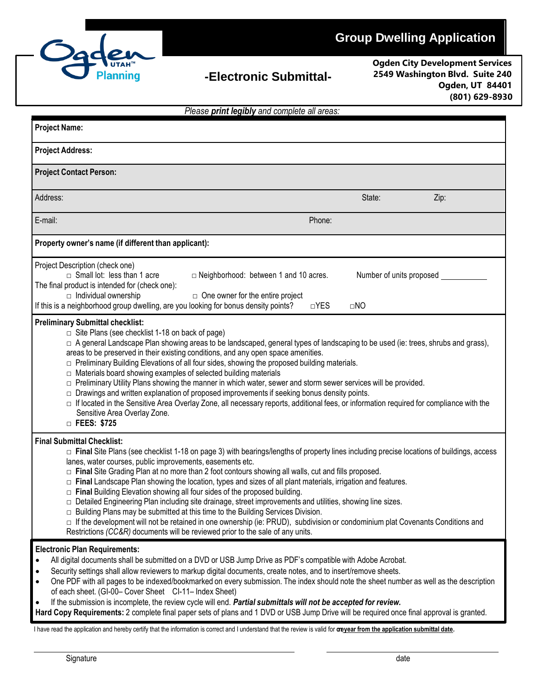

## **-Electronic Submittal-**

**Ogden City Development Services 2549 Washington Blvd. Suite 240 Ogden, UT 84401 (801) 629-8930**

| Please print legibly and complete all areas:                                                                                                                                                                                                                                                                                                                                                                                                                                                                                                                                                                                                                                                                                                                                                                                                                                |                                                                                                                                                                                                                                                                                                                                                                                                                                                                                                                                                                                                                                                                                                                                                                                                                                                                                  |                                       |      |  |
|-----------------------------------------------------------------------------------------------------------------------------------------------------------------------------------------------------------------------------------------------------------------------------------------------------------------------------------------------------------------------------------------------------------------------------------------------------------------------------------------------------------------------------------------------------------------------------------------------------------------------------------------------------------------------------------------------------------------------------------------------------------------------------------------------------------------------------------------------------------------------------|----------------------------------------------------------------------------------------------------------------------------------------------------------------------------------------------------------------------------------------------------------------------------------------------------------------------------------------------------------------------------------------------------------------------------------------------------------------------------------------------------------------------------------------------------------------------------------------------------------------------------------------------------------------------------------------------------------------------------------------------------------------------------------------------------------------------------------------------------------------------------------|---------------------------------------|------|--|
| <b>Project Name:</b>                                                                                                                                                                                                                                                                                                                                                                                                                                                                                                                                                                                                                                                                                                                                                                                                                                                        |                                                                                                                                                                                                                                                                                                                                                                                                                                                                                                                                                                                                                                                                                                                                                                                                                                                                                  |                                       |      |  |
| <b>Project Address:</b>                                                                                                                                                                                                                                                                                                                                                                                                                                                                                                                                                                                                                                                                                                                                                                                                                                                     |                                                                                                                                                                                                                                                                                                                                                                                                                                                                                                                                                                                                                                                                                                                                                                                                                                                                                  |                                       |      |  |
| <b>Project Contact Person:</b>                                                                                                                                                                                                                                                                                                                                                                                                                                                                                                                                                                                                                                                                                                                                                                                                                                              |                                                                                                                                                                                                                                                                                                                                                                                                                                                                                                                                                                                                                                                                                                                                                                                                                                                                                  |                                       |      |  |
| Address:                                                                                                                                                                                                                                                                                                                                                                                                                                                                                                                                                                                                                                                                                                                                                                                                                                                                    |                                                                                                                                                                                                                                                                                                                                                                                                                                                                                                                                                                                                                                                                                                                                                                                                                                                                                  | State:                                | Zip: |  |
| E-mail:                                                                                                                                                                                                                                                                                                                                                                                                                                                                                                                                                                                                                                                                                                                                                                                                                                                                     | Phone:                                                                                                                                                                                                                                                                                                                                                                                                                                                                                                                                                                                                                                                                                                                                                                                                                                                                           |                                       |      |  |
| Property owner's name (if different than applicant):                                                                                                                                                                                                                                                                                                                                                                                                                                                                                                                                                                                                                                                                                                                                                                                                                        |                                                                                                                                                                                                                                                                                                                                                                                                                                                                                                                                                                                                                                                                                                                                                                                                                                                                                  |                                       |      |  |
| Project Description (check one)<br>$\Box$ Small lot: less than 1 acre<br>The final product is intended for (check one):<br>$\Box$ Individual ownership<br>If this is a neighborhood group dwelling, are you looking for bonus density points?                                                                                                                                                                                                                                                                                                                                                                                                                                                                                                                                                                                                                               | $\Box$ Neighborhood: between 1 and 10 acres.<br>$\Box$ One owner for the entire project<br>$\neg$ YES                                                                                                                                                                                                                                                                                                                                                                                                                                                                                                                                                                                                                                                                                                                                                                            | Number of units proposed<br>$\Box$ NO |      |  |
| $\Box$ Site Plans (see checklist 1-18 on back of page)<br>□ A general Landscape Plan showing areas to be landscaped, general types of landscaping to be used (ie: trees, shrubs and grass),<br>areas to be preserved in their existing conditions, and any open space amenities.<br>□ Preliminary Building Elevations of all four sides, showing the proposed building materials.<br>□ Materials board showing examples of selected building materials<br>□ Preliminary Utility Plans showing the manner in which water, sewer and storm sewer services will be provided.<br>$\Box$ Drawings and written explanation of proposed improvements if seeking bonus density points.<br>□ If located in the Sensitive Area Overlay Zone, all necessary reports, additional fees, or information required for compliance with the<br>Sensitive Area Overlay Zone.<br>□ FEES: \$725 |                                                                                                                                                                                                                                                                                                                                                                                                                                                                                                                                                                                                                                                                                                                                                                                                                                                                                  |                                       |      |  |
| <b>Final Submittal Checklist:</b><br>lanes, water courses, public improvements, easements etc.                                                                                                                                                                                                                                                                                                                                                                                                                                                                                                                                                                                                                                                                                                                                                                              | □ Final Site Plans (see checklist 1-18 on page 3) with bearings/lengths of property lines including precise locations of buildings, access<br>□ Final Site Grading Plan at no more than 2 foot contours showing all walls, cut and fills proposed.<br>□ Final Landscape Plan showing the location, types and sizes of all plant materials, irrigation and features.<br>□ Final Building Elevation showing all four sides of the proposed building.<br>□ Detailed Engineering Plan including site drainage, street improvements and utilities, showing line sizes.<br>$\Box$ Building Plans may be submitted at this time to the Building Services Division.<br>□ If the development will not be retained in one ownership (ie: PRUD), subdivision or condominium plat Covenants Conditions and<br>Restrictions (CC&R) documents will be reviewed prior to the sale of any units. |                                       |      |  |
| <b>Electronic Plan Requirements:</b><br>$\bullet$<br>$\bullet$<br>of each sheet. (GI-00- Cover Sheet CI-11- Index Sheet)                                                                                                                                                                                                                                                                                                                                                                                                                                                                                                                                                                                                                                                                                                                                                    | All digital documents shall be submitted on a DVD or USB Jump Drive as PDF's compatible with Adobe Acrobat.<br>Security settings shall allow reviewers to markup digital documents, create notes, and to insert/remove sheets.<br>One PDF with all pages to be indexed/bookmarked on every submission. The index should note the sheet number as well as the description<br>If the submission is incomplete, the review cycle will end. Partial submittals will not be accepted for review.<br>Hard Copy Requirements: 2 complete final paper sets of plans and 1 DVD or USB Jump Drive will be required once final approval is granted.                                                                                                                                                                                                                                         |                                       |      |  |

I have read the application and hereby certify that the information is correct and I understand that the review is valid for **oneyear from the application submittal date.**